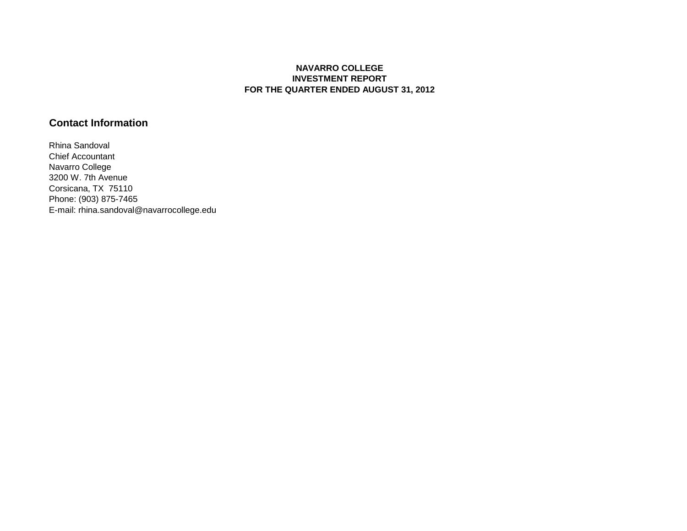## **NAVARRO COLLEGE INVESTMENT REPORT FOR THE QUARTER ENDED AUGUST 31, 2012**

## **Contact Information**

Rhina Sandoval Chief Accountant Navarro College 3200 W. 7th Avenue Corsicana, TX 75110 Phone: (903) 875-7465 E-mail: rhina.sandoval@navarrocollege.edu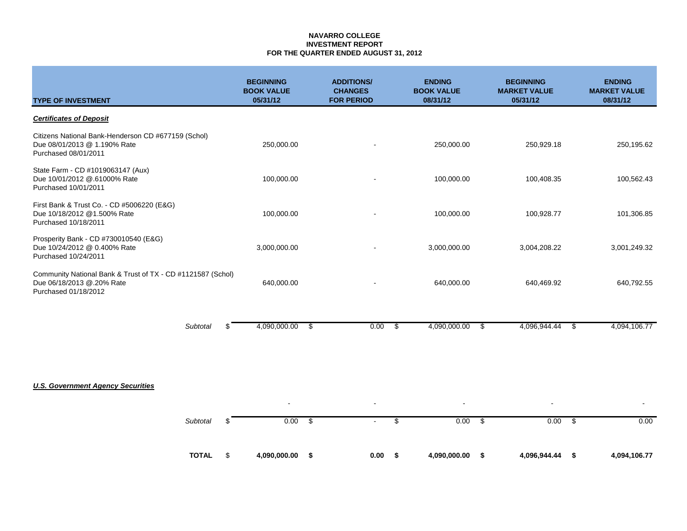### **NAVARRO COLLEGE INVESTMENT REPORT FOR THE QUARTER ENDED AUGUST 31, 2012**

| <b>TYPE OF INVESTMENT</b>                                                                                        | <b>BEGINNING</b><br><b>BOOK VALUE</b><br>05/31/12 | <b>ADDITIONS/</b><br><b>CHANGES</b><br><b>FOR PERIOD</b> | <b>ENDING</b><br><b>BOOK VALUE</b><br>08/31/12 | <b>BEGINNING</b><br><b>MARKET VALUE</b><br>05/31/12 | <b>ENDING</b><br><b>MARKET VALUE</b><br>08/31/12 |
|------------------------------------------------------------------------------------------------------------------|---------------------------------------------------|----------------------------------------------------------|------------------------------------------------|-----------------------------------------------------|--------------------------------------------------|
| <b>Certificates of Deposit</b>                                                                                   |                                                   |                                                          |                                                |                                                     |                                                  |
| Citizens National Bank-Henderson CD #677159 (Schol)<br>Due 08/01/2013 @ 1.190% Rate<br>Purchased 08/01/2011      | 250,000.00                                        |                                                          | 250,000.00                                     | 250,929.18                                          | 250,195.62                                       |
| State Farm - CD #1019063147 (Aux)<br>Due 10/01/2012 @.61000% Rate<br>Purchased 10/01/2011                        | 100,000.00                                        |                                                          | 100,000.00                                     | 100,408.35                                          | 100,562.43                                       |
| First Bank & Trust Co. - CD #5006220 (E&G)<br>Due 10/18/2012 @1.500% Rate<br>Purchased 10/18/2011                | 100,000.00                                        |                                                          | 100,000.00                                     | 100,928.77                                          | 101,306.85                                       |
| Prosperity Bank - CD #730010540 (E&G)<br>Due 10/24/2012 @ 0.400% Rate<br>Purchased 10/24/2011                    | 3,000,000.00                                      |                                                          | 3,000,000.00                                   | 3,004,208.22                                        | 3,001,249.32                                     |
| Community National Bank & Trust of TX - CD #1121587 (Schol)<br>Due 06/18/2013 @.20% Rate<br>Purchased 01/18/2012 | 640,000.00                                        |                                                          | 640,000.00                                     | 640,469.92                                          | 640,792.55                                       |
| <b>Subtotal</b>                                                                                                  | 4,090,000.00<br>\$                                | 0.00<br>\$                                               | \$<br>4,090,000.00                             | \$<br>4,096,944.44                                  | 4,094,106.77<br>\$                               |
| <b>U.S. Government Agency Securities</b>                                                                         |                                                   |                                                          |                                                |                                                     |                                                  |
| <b>Subtotal</b>                                                                                                  | 0.00<br>\$                                        | \$                                                       | \$<br>0.00                                     | - \$<br>0.00                                        | -\$<br>0.00                                      |
| <b>TOTAL</b>                                                                                                     | \$<br>4,090,000.00                                | \$<br>0.00                                               | - \$<br>4,090,000.00                           | 4,096,944.44<br>\$                                  | 4,094,106.77<br>- \$                             |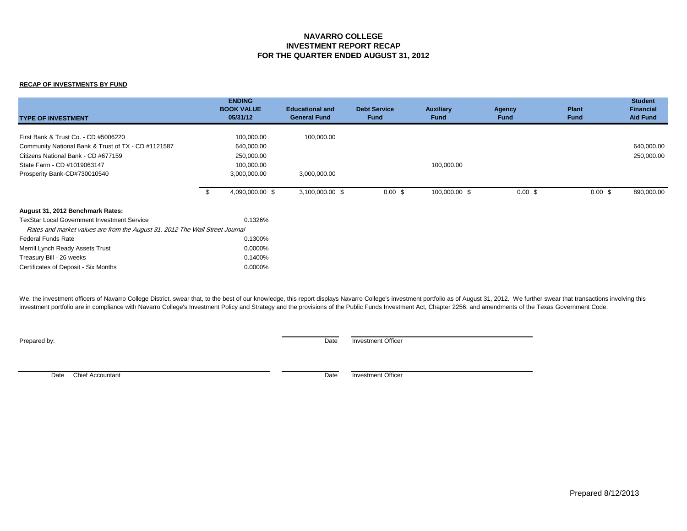### **NAVARRO COLLEGE INVESTMENT REPORT RECAP FOR THE QUARTER ENDED AUGUST 31, 2012**

#### **RECAP OF INVESTMENTS BY FUND**

| <b>TYPE OF INVESTMENT</b>                                                    | <b>ENDING</b><br><b>BOOK VALUE</b><br>05/31/12 | <b>Educational and</b><br><b>General Fund</b> | <b>Debt Service</b><br><b>Fund</b> | <b>Auxiliary</b><br><b>Fund</b> | Agency<br><b>Fund</b> | <b>Plant</b><br><b>Fund</b> | <b>Student</b><br><b>Financial</b><br><b>Aid Fund</b> |
|------------------------------------------------------------------------------|------------------------------------------------|-----------------------------------------------|------------------------------------|---------------------------------|-----------------------|-----------------------------|-------------------------------------------------------|
| First Bank & Trust Co. - CD #5006220                                         | 100,000.00                                     | 100,000.00                                    |                                    |                                 |                       |                             |                                                       |
| Community National Bank & Trust of TX - CD #1121587                          | 640,000.00                                     |                                               |                                    |                                 |                       |                             | 640,000.00                                            |
| Citizens National Bank - CD #677159                                          | 250,000.00                                     |                                               |                                    |                                 |                       |                             | 250,000.00                                            |
| State Farm - CD #1019063147                                                  | 100,000.00                                     |                                               |                                    | 100,000.00                      |                       |                             |                                                       |
| Prosperity Bank-CD#730010540                                                 | 3,000,000.00                                   | 3,000,000.00                                  |                                    |                                 |                       |                             |                                                       |
|                                                                              | 4,090,000.00 \$                                | 3,100,000.00 \$                               | $0.00 \text{ }$ \$                 | 100,000.00 \$                   | 0.00~\$               | $0.00 \text{ }$ \$          | 890,000.00                                            |
| August 31, 2012 Benchmark Rates:                                             |                                                |                                               |                                    |                                 |                       |                             |                                                       |
| <b>TexStar Local Government Investment Service</b>                           | 0.1326%                                        |                                               |                                    |                                 |                       |                             |                                                       |
| Rates and market values are from the August 31, 2012 The Wall Street Journal |                                                |                                               |                                    |                                 |                       |                             |                                                       |
| <b>Federal Funds Rate</b>                                                    | 0.1300%                                        |                                               |                                    |                                 |                       |                             |                                                       |
| Merrill Lynch Ready Assets Trust                                             | 0.0000%                                        |                                               |                                    |                                 |                       |                             |                                                       |
| Treasury Bill - 26 weeks                                                     | 0.1400%                                        |                                               |                                    |                                 |                       |                             |                                                       |
| Certificates of Deposit - Six Months                                         | 0.0000%                                        |                                               |                                    |                                 |                       |                             |                                                       |

We, the investment officers of Navarro College District, swear that, to the best of our knowledge, this report displays Navarro College's investment portfolio as of August 31, 2012. We further swear that transactions invol investment portfolio are in compliance with Navarro College's Investment Policy and Strategy and the provisions of the Public Funds Investment Act, Chapter 2256, and amendments of the Texas Government Code.

**Prepared by:** Date Investment Officer

Date Chief Accountant Date Investment Officer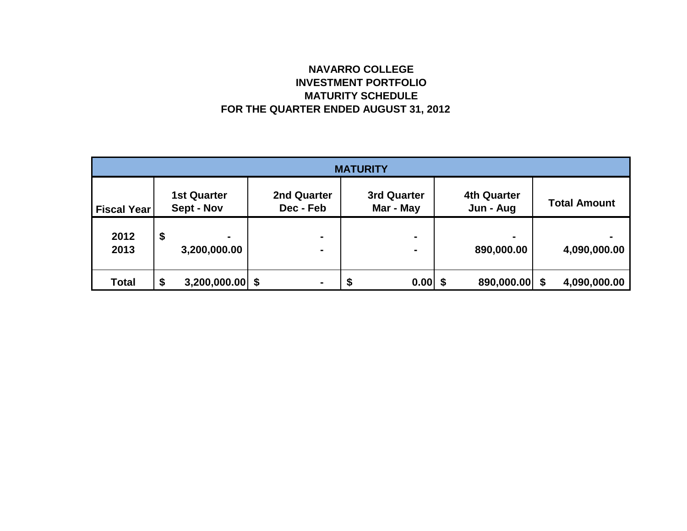# **NAVARRO COLLEGE INVESTMENT PORTFOLIO MATURITY SCHEDULE FOR THE QUARTER ENDED AUGUST 31, 2012**

| <b>MATURITY</b>    |    |                                  |  |                                  |   |                                 |  |                                 |  |                     |
|--------------------|----|----------------------------------|--|----------------------------------|---|---------------------------------|--|---------------------------------|--|---------------------|
| <b>Fiscal Year</b> |    | <b>1st Quarter</b><br>Sept - Nov |  | <b>2nd Quarter</b><br>Dec - Feb  |   | <b>3rd Quarter</b><br>Mar - May |  | <b>4th Quarter</b><br>Jun - Aug |  | <b>Total Amount</b> |
| 2012<br>2013       | \$ | ۰<br>3,200,000.00                |  | $\blacksquare$<br>$\blacksquare$ |   | $\blacksquare$<br>-             |  | $\blacksquare$<br>890,000.00    |  | 4,090,000.00        |
| <b>Total</b>       | \$ | $3,200,000.00$ \$                |  | $\blacksquare$                   | Ð | 0.00                            |  | 890,000.00 \$                   |  | 4,090,000.00        |